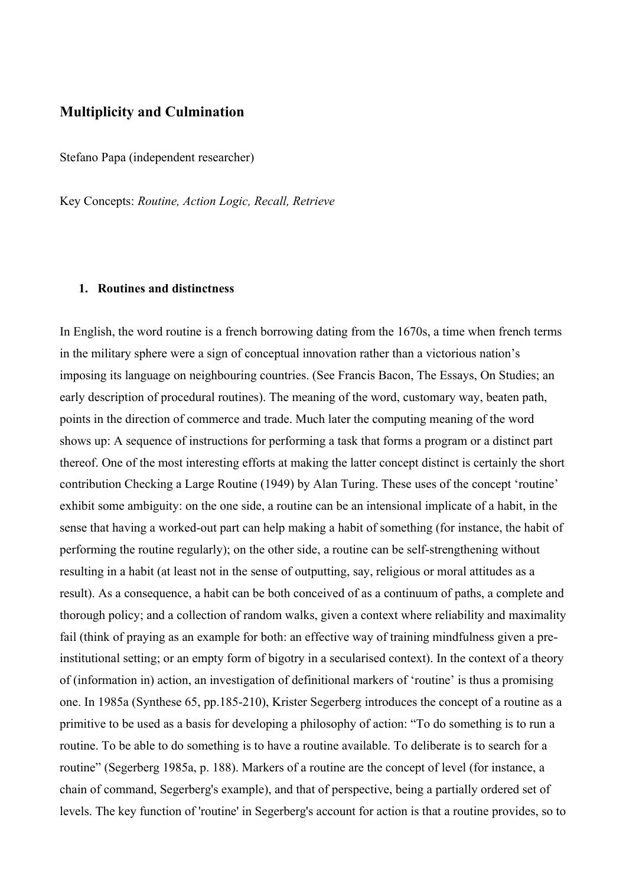## **Multiplicity and Culmination**

Stefano Papa (independent researcher)

Key Concepts: *Routine, Action Logic, Recall, Retrieve* 

## **1. Routines and distinctness**

In English, the word routine is a french borrowing dating from the 1670s, a time when french terms in the military sphere were a sign of conceptual innovation rather than a victorious nation's imposing its language on neighbouring countries. (See Francis Bacon, The Essays, On Studies; an early description of procedural routines). The meaning of the word, customary way, beaten path, points in the direction of commerce and trade. Much later the computing meaning of the word shows up: A sequence of instructions for performing a task that forms a program or a distinct part thereof. One of the most interesting efforts at making the latter concept distinct is certainly the short contribution Checking a Large Routine (1949) by Alan Turing. These uses of the concept 'routine' exhibit some ambiguity: on the one side, a routine can be an intensional implicate of a habit, in the sense that having a worked-out part can help making a habit of something (for instance, the habit of performing the routine regularly); on the other side, a routine can be self-strengthening without resulting in a habit (at least not in the sense of outputting, say, religious or moral attitudes as a result). As a consequence, a habit can be both conceived of as a continuum of paths, a complete and thorough policy; and a collection of random walks, given a context where reliability and maximality fail (think of praying as an example for both: an effective way of training mindfulness given a preinstitutional setting; or an empty form of bigotry in a secularised context). In the context of a theory of (information in) action, an investigation of definitional markers of 'routine' is thus a promising one. In 1985a (Synthese 65, pp.185-210), Krister Segerberg introduces the concept of a routine as a primitive to be used as a basis for developing a philosophy of action: "To do something is to run a routine. To be able to do something is to have a routine available. To deliberate is to search for a routine" (Segerberg 1985a, p. 188). Markers of a routine are the concept of level (for instance, a chain of command, Segerberg's example), and that of perspective, being a partially ordered set of levels. The key function of 'routine' in Segerberg's account for action is that a routine provides, so to